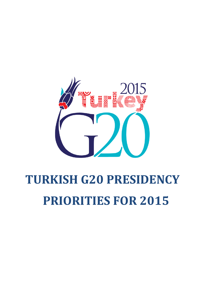

# **TURKISH G20 PRESIDENCY PRIORITIES FOR 2015**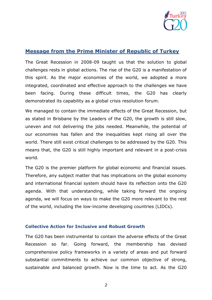

# **Message from the Prime Minister of Republic of Turkey**

The Great Recession in 2008-09 taught us that the solution to global challenges rests in global actions. The rise of the G20 is a manifestation of this spirit. As the major economies of the world, we adopted a more integrated, coordinated and effective approach to the challenges we have been facing. During these difficult times, the G20 has clearly demonstrated its capability as a global crisis resolution forum.

We managed to contain the immediate effects of the Great Recession, but as stated in Brisbane by the Leaders of the G20, the growth is still slow, uneven and not delivering the jobs needed. Meanwhile, the potential of our economies has fallen and the inequalities kept rising all over the world. There still exist critical challenges to be addressed by the G20. This means that, the G20 is still highly important and relevant in a post-crisis world.

The G20 is the premier platform for global economic and financial issues. Therefore, any subject matter that has implications on the global economy and international financial system should have its reflection onto the G20 agenda. With that understanding, while taking forward the ongoing agenda, we will focus on ways to make the G20 more relevant to the rest of the world, including the low-income developing countries (LIDCs).

#### **Collective Action for Inclusive and Robust Growth**

The G20 has been instrumental to contain the adverse effects of the Great Recession so far. Going forward, the membership has devised comprehensive policy frameworks in a variety of areas and put forward substantial commitments to achieve our common objective of strong, sustainable and balanced growth. Now is the time to act. As the G20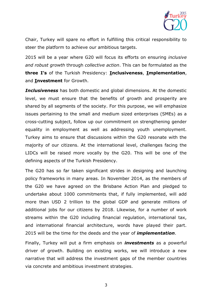

Chair, Turkey will spare no effort in fulfilling this critical responsibility to steer the platform to achieve our ambitious targets.

2015 will be a year where G20 will focus its efforts on ensuring *inclusive and robust growth* through *collective action*. This can be formulated as the **three I's** of the Turkish Presidency: **Inclusiveness**, **Implementation**, and **Investment** for Growth.

*Inclusiveness* has both domestic and global dimensions. At the domestic level, we must ensure that the benefits of growth and prosperity are shared by all segments of the society. For this purpose, we will emphasize issues pertaining to the small and medium sized enterprises (SMEs) as a cross-cutting subject, follow up our commitment on strengthening gender equality in employment as well as addressing youth unemployment. Turkey aims to ensure that discussions within the G20 resonate with the majority of our citizens. At the international level, challenges facing the LIDCs will be raised more vocally by the G20. This will be one of the defining aspects of the Turkish Presidency.

The G20 has so far taken significant strides in designing and launching policy frameworks in many areas. In November 2014, as the members of the G20 we have agreed on the Brisbane Action Plan and pledged to undertake about 1000 commitments that, if fully implemented, will add more than USD 2 trillion to the global GDP and generate millions of additional jobs for our citizens by 2018. Likewise, for a number of work streams within the G20 including financial regulation, international tax, and international financial architecture, words have played their part. 2015 will be the time for the deeds and the year of *implementation*.

Finally, Turkey will put a firm emphasis on *investments* as a powerful driver of growth. Building on existing works, we will introduce a new narrative that will address the investment gaps of the member countries via concrete and ambitious investment strategies.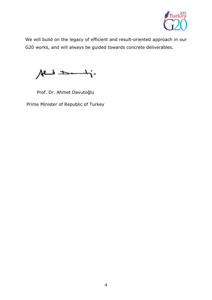

We will build on the legacy of efficient and result-oriented approach in our G20 works, and will always be guided towards concrete deliverables.

 $A$ end  $\pm$ 

Prof. Dr. Ahmet Davutoğlu

Prime Minister of Republic of Turkey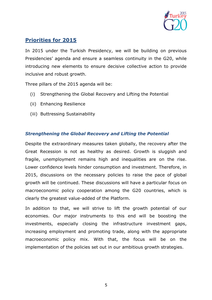

# **Priorities for 2015**

In 2015 under the Turkish Presidency, we will be building on previous Presidencies' agenda and ensure a seamless continuity in the G20, while introducing new elements to ensure decisive collective action to provide inclusive and robust growth.

Three pillars of the 2015 agenda will be:

- (i) Strengthening the Global Recovery and Lifting the Potential
- (ii) Enhancing Resilience
- (iii) Buttressing Sustainability

## *Strengthening the Global Recovery and Lifting the Potential*

Despite the extraordinary measures taken globally, the recovery after the Great Recession is not as healthy as desired. Growth is sluggish and fragile, unemployment remains high and inequalities are on the rise. Lower confidence levels hinder consumption and investment. Therefore, in 2015, discussions on the necessary policies to raise the pace of global growth will be continued. These discussions will have a particular focus on macroeconomic policy cooperation among the G20 countries, which is clearly the greatest value-added of the Platform.

In addition to that, we will strive to lift the growth potential of our economies. Our major instruments to this end will be boosting the investments, especially closing the infrastructure investment gaps, increasing employment and promoting trade, along with the appropriate macroeconomic policy mix. With that, the focus will be on the implementation of the policies set out in our ambitious growth strategies.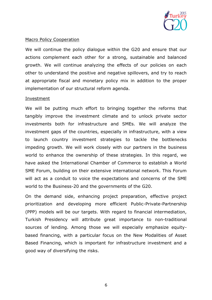

#### Macro Policy Cooperation

We will continue the policy dialogue within the G20 and ensure that our actions complement each other for a strong, sustainable and balanced growth. We will continue analyzing the effects of our policies on each other to understand the positive and negative spillovers, and try to reach at appropriate fiscal and monetary policy mix in addition to the proper implementation of our structural reform agenda.

#### Investment

We will be putting much effort to bringing together the reforms that tangibly improve the investment climate and to unlock private sector investments both for infrastructure and SMEs. We will analyze the investment gaps of the countries, especially in infrastructure, with a view to launch country investment strategies to tackle the bottlenecks impeding growth. We will work closely with our partners in the business world to enhance the ownership of these strategies. In this regard, we have asked the International Chamber of Commerce to establish a World SME Forum, building on their extensive international network. This Forum will act as a conduit to voice the expectations and concerns of the SME world to the Business-20 and the governments of the G20.

On the demand side, enhancing project preparation, effective project prioritization and developing more efficient Public-Private-Partnership (PPP) models will be our targets. With regard to financial intermediation, Turkish Presidency will attribute great importance to non-traditional sources of lending. Among those we will especially emphasize equitybased financing, with a particular focus on the New Modalities of Asset Based Financing, which is important for infrastructure investment and a good way of diversifying the risks.

6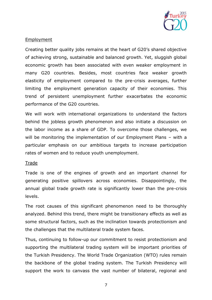

### **Employment**

Creating better quality jobs remains at the heart of G20's shared objective of achieving strong, sustainable and balanced growth. Yet, sluggish global economic growth has been associated with even weaker employment in many G20 countries. Besides, most countries face weaker growth elasticity of employment compared to the pre-crisis averages, further limiting the employment generation capacity of their economies. This trend of persistent unemployment further exacerbates the economic performance of the G20 countries.

We will work with international organizations to understand the factors behind the jobless growth phenomenon and also initiate a discussion on the labor income as a share of GDP. To overcome those challenges, we will be monitoring the implementation of our Employment Plans - with a particular emphasis on our ambitious targets to increase participation rates of women and to reduce youth unemployment.

#### **Trade**

Trade is one of the engines of growth and an important channel for generating positive spillovers across economies. Disappointingly, the annual global trade growth rate is significantly lower than the pre-crisis levels.

The root causes of this significant phenomenon need to be thoroughly analyzed. Behind this trend, there might be transitionary effects as well as some structural factors, such as the inclination towards protectionism and the challenges that the multilateral trade system faces.

Thus, continuing to follow-up our commitment to resist protectionism and supporting the multilateral trading system will be important priorities of the Turkish Presidency. The World Trade Organization (WTO) rules remain the backbone of the global trading system. The Turkish Presidency will support the work to canvass the vast number of bilateral, regional and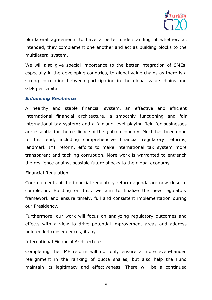

plurilateral agreements to have a better understanding of whether, as intended, they complement one another and act as building blocks to the multilateral system.

We will also give special importance to the better integration of SMEs, especially in the developing countries, to global value chains as there is a strong correlation between participation in the global value chains and GDP per capita.

## *Enhancing Resilience*

A healthy and stable financial system, an effective and efficient international financial architecture, a smoothly functioning and fair international tax system; and a fair and level playing field for businesses are essential for the resilience of the global economy. Much has been done to this end, including comprehensive financial regulatory reforms, landmark IMF reform, efforts to make international tax system more transparent and tackling corruption. More work is warranted to entrench the resilience against possible future shocks to the global economy.

#### Financial Regulation

Core elements of the financial regulatory reform agenda are now close to completion. Building on this, we aim to finalize the new regulatory framework and ensure timely, full and consistent implementation during our Presidency.

Furthermore, our work will focus on analyzing regulatory outcomes and effects with a view to drive potential improvement areas and address unintended consequences, if any.

#### International Financial Architecture

Completing the IMF reform will not only ensure a more even-handed realignment in the ranking of quota shares, but also help the Fund maintain its legitimacy and effectiveness. There will be a continued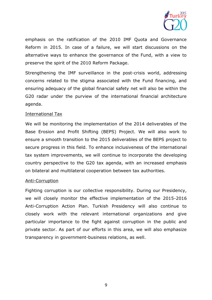

emphasis on the ratification of the 2010 IMF Quota and Governance Reform in 2015. In case of a failure, we will start discussions on the alternative ways to enhance the governance of the Fund, with a view to preserve the spirit of the 2010 Reform Package.

Strengthening the IMF surveillance in the post-crisis world, addressing concerns related to the stigma associated with the Fund financing, and ensuring adequacy of the global financial safety net will also be within the G20 radar under the purview of the international financial architecture agenda.

#### International Tax

We will be monitoring the implementation of the 2014 deliverables of the Base Erosion and Profit Shifting (BEPS) Project. We will also work to ensure a smooth transition to the 2015 deliverables of the BEPS project to secure progress in this field. To enhance inclusiveness of the international tax system improvements, we will continue to incorporate the developing country perspective to the G20 tax agenda, with an increased emphasis on bilateral and multilateral cooperation between tax authorities.

#### Anti-Corruption

Fighting corruption is our collective responsibility. During our Presidency, we will closely monitor the effective implementation of the 2015-2016 Anti-Corruption Action Plan. Turkish Presidency will also continue to closely work with the relevant international organizations and give particular importance to the fight against corruption in the public and private sector. As part of our efforts in this area, we will also emphasize transparency in government-business relations, as well.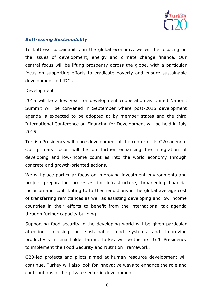

## *Buttressing Sustainability*

To buttress sustainability in the global economy, we will be focusing on the issues of development, energy and climate change finance. Our central focus will be lifting prosperity across the globe, with a particular focus on supporting efforts to eradicate poverty and ensure sustainable development in LIDCs.

#### Development

2015 will be a key year for development cooperation as United Nations Summit will be convened in September where post-2015 development agenda is expected to be adopted at by member states and the third International Conference on Financing for Development will be held in July 2015.

Turkish Presidency will place development at the center of its G20 agenda. Our primary focus will be on further enhancing the integration of developing and low-income countries into the world economy through concrete and growth-oriented actions.

We will place particular focus on improving investment environments and project preparation processes for infrastructure, broadening financial inclusion and contributing to further reductions in the global average cost of transferring remittances as well as assisting developing and low income countries in their efforts to benefit from the international tax agenda through further capacity building.

Supporting food security in the developing world will be given particular attention, focusing on sustainable food systems and improving productivity in smallholder farms. Turkey will be the first G20 Presidency to implement the Food Security and Nutrition Framework.

G20-led projects and pilots aimed at human resource development will continue. Turkey will also look for innovative ways to enhance the role and contributions of the private sector in development.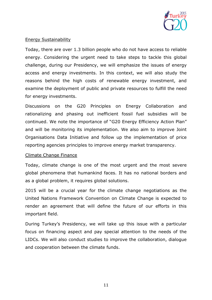

## Energy Sustainability

Today, there are over 1.3 billion people who do not have access to reliable energy. Considering the urgent need to take steps to tackle this global challenge, during our Presidency, we will emphasize the issues of energy access and energy investments. In this context, we will also study the reasons behind the high costs of renewable energy investment, and examine the deployment of public and private resources to fulfill the need for energy investments.

Discussions on the G20 Principles on Energy Collaboration and rationalizing and phasing out inefficient fossil fuel subsidies will be continued. We note the importance of "G20 Energy Efficiency Action Plan" and will be monitoring its implementation. We also aim to improve Joint Organisations Data Initiative and follow up the implementation of price reporting agencies principles to improve energy market transparency.

#### Climate Change Finance

Today, climate change is one of the most urgent and the most severe global phenomena that humankind faces. It has no national borders and as a global problem, it requires global solutions.

2015 will be a crucial year for the climate change negotiations as the United Nations Framework Convention on Climate Change is expected to render an agreement that will define the future of our efforts in this important field.

During Turkey's Presidency, we will take up this issue with a particular focus on financing aspect and pay special attention to the needs of the LIDCs. We will also conduct studies to improve the collaboration, dialogue and cooperation between the climate funds.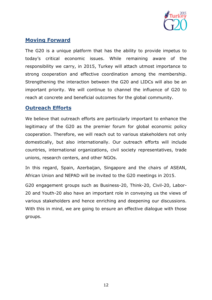

# **Moving Forward**

The G20 is a unique platform that has the ability to provide impetus to today's critical economic issues. While remaining aware of the responsibility we carry, in 2015, Turkey will attach utmost importance to strong cooperation and effective coordination among the membership. Strengthening the interaction between the G20 and LIDCs will also be an important priority. We will continue to channel the influence of G20 to reach at concrete and beneficial outcomes for the global community.

# **Outreach Efforts**

We believe that outreach efforts are particularly important to enhance the legitimacy of the G20 as the premier forum for global economic policy cooperation. Therefore, we will reach out to various stakeholders not only domestically, but also internationally. Our outreach efforts will include countries, international organizations, civil society representatives, trade unions, research centers, and other NGOs.

In this regard, Spain, Azerbaijan, Singapore and the chairs of ASEAN, African Union and NEPAD will be invited to the G20 meetings in 2015.

G20 engagement groups such as Business-20, Think-20, Civil-20, Labor-20 and Youth-20 also have an important role in conveying us the views of various stakeholders and hence enriching and deepening our discussions. With this in mind, we are going to ensure an effective dialogue with those groups.